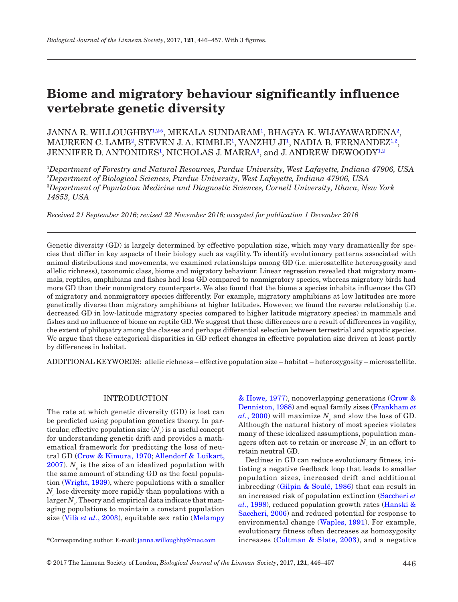# **Biome and migratory behaviour significantly influence vertebrate genetic diversity**

JANNA R. WILLOUGHBY½[\\*](#page-0-1), MEKALA SUNDARAM½, BHAGYA K. WIJAYAWARDENA², MAUREEN C. LAMB², STEVEN J. A. KIMBLE<sup>1</sup>, YANZHU JI<sup>1</sup>, NADIA B. FERNANDEZ<sup>1,[2](#page-0-1)</sup>, JENNIFER D. ANTONIDES<sup>[1](#page-0-0)</sup>, NICHOLAS J. MARRA<sup>[3](#page-0-2)</sup>, and J. ANDREW DEWOODY<sup>1,[2](#page-0-1)</sup>

<span id="page-0-2"></span><span id="page-0-1"></span><span id="page-0-0"></span> *Department of Forestry and Natural Resources, Purdue University, West Lafayette, Indiana 47906, USA Department of Biological Sciences, Purdue University, West Lafayette, Indiana 47906, USA Department of Population Medicine and Diagnostic Sciences, Cornell University, Ithaca, New York 14853, USA*

*Received 21 September 2016; revised 22 November 2016; accepted for publication 1 December 2016*

Genetic diversity (GD) is largely determined by effective population size, which may vary dramatically for species that differ in key aspects of their biology such as vagility. To identify evolutionary patterns associated with animal distributions and movements, we examined relationships among GD (i.e. microsatellite heterozygosity and allelic richness), taxonomic class, biome and migratory behaviour. Linear regression revealed that migratory mammals, reptiles, amphibians and fishes had less GD compared to nonmigratory species, whereas migratory birds had more GD than their nonmigratory counterparts. We also found that the biome a species inhabits influences the GD of migratory and nonmigratory species differently. For example, migratory amphibians at low latitudes are more genetically diverse than migratory amphibians at higher latitudes. However, we found the reverse relationship (i.e. decreased GD in low-latitude migratory species compared to higher latitude migratory species) in mammals and fishes and no influence of biome on reptile GD. We suggest that these differences are a result of differences in vagility, the extent of philopatry among the classes and perhaps differential selection between terrestrial and aquatic species. We argue that these categorical disparities in GD reflect changes in effective population size driven at least partly by differences in habitat.

ADDITIONAL KEYWORDS: allelic richness – effective population size – habitat – heterozygosity – microsatellite.

# INTRODUCTION

The rate at which genetic diversity (GD) is lost can be predicted using population genetics theory. In par- $\text{ticular}, \text{effective population size} \left(N_{_{e}}\right) \text{is a useful concept}$ for understanding genetic drift and provides a mathematical framework for predicting the loss of neutral GD ([Crow & Kimura, 1970;](#page-9-0) [Allendorf & Luikart,](#page-9-1)   $2007$ ).  $N_e$  is the size of an idealized population with the same amount of standing GD as the focal population ([Wright, 1939\)](#page-11-0), where populations with a smaller  $N_{e}$  lose diversity more rapidly than populations with a  $\operatorname{larger} N_{_e}.$  Theory and empirical data indicate that managing populations to maintain a constant population size (Vilà *et al.*[, 2003\)](#page-10-0), equitable sex ratio [\(Melampy](#page-10-1)

[& Howe, 1977](#page-10-1)), nonoverlapping generations ([Crow &](#page-9-2)  [Denniston, 1988\)](#page-9-2) and equal family sizes ([Frankham](#page-9-3) *et*   $al., 2000)$  $al., 2000)$  $al., 2000)$  will maximize  $N_e$  and slow the loss of GD. Although the natural history of most species violates many of these idealized assumptions, population managers often act to retain or increase  $N_e$  in an effort to retain neutral GD.

Declines in GD can reduce evolutionary fitness, initiating a negative feedback loop that leads to smaller population sizes, increased drift and additional inbreeding ([Gilpin & Soulé, 1986\)](#page-9-4) that can result in an increased risk of population extinction [\(Saccheri](#page-10-2) *et al.*[, 1998](#page-10-2)), reduced population growth rates ([Hanski &](#page-10-3) [Saccheri, 2006\)](#page-10-3) and reduced potential for response to environmental change ([Waples, 1991\)](#page-10-4). For example, evolutionary fitness often decreases as homozygosity \*Corresponding author. E-mail: [janna.willoughby@mac.com](mailto:janna.willoughby@mac.com?subject=) increases ([Coltman & Slate, 2003\)](#page-9-5), and a negative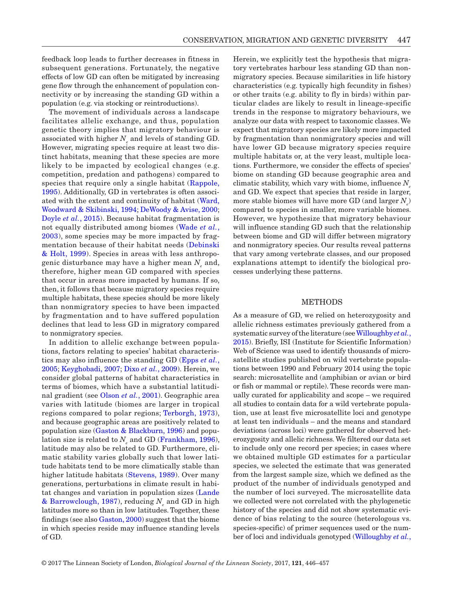feedback loop leads to further decreases in fitness in subsequent generations. Fortunately, the negative effects of low GD can often be mitigated by increasing gene flow through the enhancement of population connectivity or by increasing the standing GD within a population (e.g. via stocking or reintroductions).

The movement of individuals across a landscape facilitates allelic exchange, and thus, population genetic theory implies that migratory behaviour is associated with higher  $N_{e}$  and levels of standing GD. However, migrating species require at least two distinct habitats, meaning that these species are more likely to be impacted by ecological changes (e.g. competition, predation and pathogens) compared to species that require only a single habitat ([Rappole,](#page-10-5) [1995](#page-10-5)). Additionally, GD in vertebrates is often associated with the extent and continuity of habitat ([Ward,](#page-11-1) [Woodward & Skibinski, 1994;](#page-11-1) [DeWoody & Avise, 2000](#page-9-6); [Doyle](#page-9-7) *et al.*, 2015). Because habitat fragmentation is not equally distributed among biomes ([Wade](#page-10-6) *et al.*, [2003\)](#page-10-6), some species may be more impacted by fragmentation because of their habitat needs ([Debinski](#page-9-8) [& Holt, 1999](#page-9-8)). Species in areas with less anthropogenic disturbance may have a higher mean  $N_{_e}$  and, therefore, higher mean GD compared with species that occur in areas more impacted by humans. If so, then, it follows that because migratory species require multiple habitats, these species should be more likely than nonmigratory species to have been impacted by fragmentation and to have suffered population declines that lead to less GD in migratory compared to nonmigratory species.

In addition to allelic exchange between populations, factors relating to species' habitat characteristics may also influence the standing GD [\(Epps](#page-9-9) *et al.*, [2005;](#page-9-9) [Keyghobadi, 2007](#page-10-7); Dixo *et al.*[, 2009\)](#page-9-10). Herein, we consider global patterns of habitat characteristics in terms of biomes, which have a substantial latitudinal gradient (see [Olson](#page-10-8) *et al.*, 2001). Geographic area varies with latitude (biomes are larger in tropical regions compared to polar regions; [Terborgh, 1973\)](#page-10-9), and because geographic areas are positively related to population size [\(Gaston & Blackburn, 1996](#page-9-11)) and population size is related to  $N_e$  and GD [\(Frankham, 1996\)](#page-9-12), latitude may also be related to GD. Furthermore, climatic stability varies globally such that lower latitude habitats tend to be more climatically stable than higher latitude habitats ([Stevens, 1989\)](#page-10-10). Over many generations, perturbations in climate result in habitat changes and variation in population sizes ([Lande](#page-10-11)  $\&$  Barrowclough, 1987), reducing  $N_{_e}$  and GD in high latitudes more so than in low latitudes. Together, these findings (see also [Gaston, 2000](#page-9-13)) suggest that the biome in which species reside may influence standing levels of GD.

Herein, we explicitly test the hypothesis that migratory vertebrates harbour less standing GD than nonmigratory species. Because similarities in life history characteristics (e.g. typically high fecundity in fishes) or other traits (e.g. ability to fly in birds) within particular clades are likely to result in lineage-specific trends in the response to migratory behaviours, we analyze our data with respect to taxonomic classes. We expect that migratory species are likely more impacted by fragmentation than nonmigratory species and will have lower GD because migratory species require multiple habitats or, at the very least, multiple locations. Furthermore, we consider the effects of species' biome on standing GD because geographic area and climatic stability, which vary with biome, influence  $N_e$ and GD. We expect that species that reside in larger, more stable biomes will have more GD (and larger  $N_e$ ) compared to species in smaller, more variable biomes. However, we hypothesize that migratory behaviour will influence standing GD such that the relationship between biome and GD will differ between migratory and nonmigratory species. Our results reveal patterns that vary among vertebrate classes, and our proposed explanations attempt to identify the biological processes underlying these patterns.

#### METHODS

As a measure of GD, we relied on heterozygosity and allelic richness estimates previously gathered from a systematic survey of the literature (see [Willoughby](#page-9-7) *et al.*, [2015\)](#page-9-7). Briefly, ISI (Institute for Scientific Information) Web of Science was used to identify thousands of microsatellite studies published on wild vertebrate populations between 1990 and February 2014 using the topic search: microsatellite and (amphibian or avian or bird or fish or mammal or reptile). These records were manually curated for applicability and scope – we required all studies to contain data for a wild vertebrate population, use at least five microsatellite loci and genotype at least ten individuals – and the means and standard deviations (across loci) were gathered for observed heterozygosity and allelic richness. We filtered our data set to include only one record per species; in cases where we obtained multiple GD estimates for a particular species, we selected the estimate that was generated from the largest sample size, which we defined as the product of the number of individuals genotyped and the number of loci surveyed. The microsatellite data we collected were not correlated with the phylogenetic history of the species and did not show systematic evidence of bias relating to the source (heterologous vs. species-specific) of primer sequences used or the number of loci and individuals genotyped ([Willoughby](#page-9-7) *et al.*,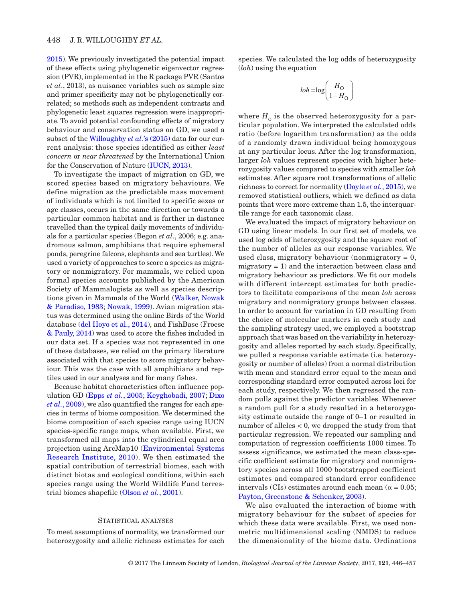[2015](#page-9-7)). We previously investigated the potential impact of these effects using phylogenetic eigenvector regression (PVR), implemented in the R package PVR (Santos *et al*., 2013), as nuisance variables such as sample size and primer specificity may not be phylogenetically correlated; so methods such as independent contrasts and phylogenetic least squares regression were inappropriate. To avoid potential confounding effects of migratory behaviour and conservation status on GD, we used a subset of the [Willoughby](#page-9-7) *et al.*'s (2015) data for our current analysis: those species identified as either *least concern* or *near threatened* by the International Union for the Conservation of Nature ([IUCN, 2013](#page-10-12)).

To investigate the impact of migration on GD, we scored species based on migratory behaviours. We define migration as the predictable mass movement of individuals which is not limited to specific sexes or age classes, occurs in the same direction or towards a particular common habitat and is farther in distance travelled than the typical daily movements of individuals for a particular species (Begon *et al*., 2006; e.g. anadromous salmon, amphibians that require ephemeral ponds, peregrine falcons, elephants and sea turtles). We used a variety of approaches to score a species as migratory or nonmigratory. For mammals, we relied upon formal species accounts published by the American Society of Mammalogists as well as species descriptions given in Mammals of the World ([Walker, Nowak](#page-10-13) [& Paradiso, 1983](#page-10-13); [Nowak, 1999](#page-10-14)). Avian migration status was determined using the online Birds of the World database [\(del Hoyo et al., 2014\)](#page-10-15), and FishBase (Froese [& Pauly, 2014](#page-9-14)) was used to score the fishes included in our data set. If a species was not represented in one of these databases, we relied on the primary literature associated with that species to score migratory behaviour. This was the case with all amphibians and reptiles used in our analyses and for many fishes.

Because habitat characteristics often influence population GD (Epps *et al.*[, 2005;](#page-9-9) [Keyghobadi, 2007](#page-10-7); [Dixo](#page-9-10)  *et al.*[, 2009](#page-9-10)), we also quantified the ranges for each species in terms of biome composition. We determined the biome composition of each species range using IUCN species-specific range maps, when available. First, we transformed all maps into the cylindrical equal area projection using ArcMap10 ([Environmental Systems](#page-9-15) [Research Institute, 2010](#page-9-15)). We then estimated the spatial contribution of terrestrial biomes, each with distinct biotas and ecological conditions, within each species range using the World Wildlife Fund terrestrial biomes shapefile ([Olson](#page-10-8) *et al.*, 2001).

## STATISTICAL ANALYSES

To meet assumptions of normality, we transformed our heterozygosity and allelic richness estimates for each

species. We calculated the log odds of heterozygosity (*loh*) using the equation

$$
loh = \log\left(\frac{H_O}{1 - H_O}\right)
$$

where  $H_0$  is the observed heterozygosity for a particular population. We interpreted the calculated odds ratio (before logarithm transformation) as the odds of a randomly drawn individual being homozygous at any particular locus. After the log transformation, larger *loh* values represent species with higher heterozygosity values compared to species with smaller *loh* estimates. After square root transformations of allelic richness to correct for normality [\(Doyle](#page-9-7) *et al.*, 2015), we removed statistical outliers, which we defined as data points that were more extreme than 1.5, the interquartile range for each taxonomic class.

We evaluated the impact of migratory behaviour on GD using linear models. In our first set of models, we used log odds of heterozygosity and the square root of the number of alleles as our response variables. We used class, migratory behaviour (nonmigratory = 0, migratory  $= 1$ ) and the interaction between class and migratory behaviour as predictors. We fit our models with different intercept estimates for both predictors to facilitate comparisons of the mean *loh* across migratory and nonmigratory groups between classes. In order to account for variation in GD resulting from the choice of molecular markers in each study and the sampling strategy used, we employed a bootstrap approach that was based on the variability in heterozygosity and alleles reported by each study. Specifically, we pulled a response variable estimate (i.e. heterozygosity or number of alleles) from a normal distribution with mean and standard error equal to the mean and corresponding standard error computed across loci for each study, respectively. We then regressed the random pulls against the predictor variables. Whenever a random pull for a study resulted in a heterozygosity estimate outside the range of 0–1 or resulted in number of alleles < 0, we dropped the study from that particular regression. We repeated our sampling and computation of regression coefficients 1000 times. To assess significance, we estimated the mean class-specific coefficient estimate for migratory and nonmigratory species across all 1000 bootstrapped coefficient estimates and compared standard error confidence intervals (CIs) estimates around each mean ( $\alpha$  = 0.05; [Payton, Greenstone & Schenker, 2003\)](#page-10-16).

We also evaluated the interaction of biome with migratory behaviour for the subset of species for which these data were available. First, we used nonmetric multidimensional scaling (NMDS) to reduce the dimensionality of the biome data. Ordinations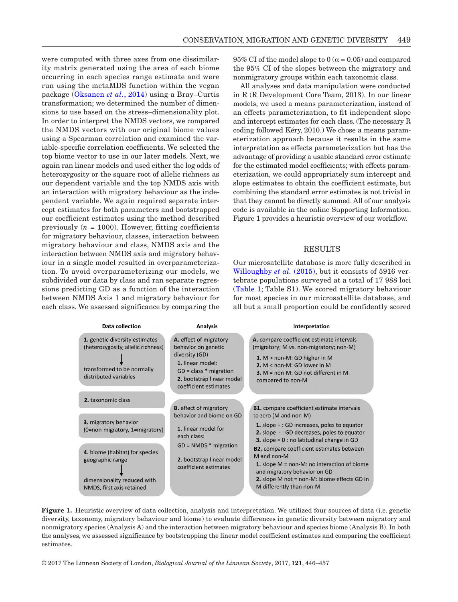were computed with three axes from one dissimilarity matrix generated using the area of each biome occurring in each species range estimate and were run using the metaMDS function within the vegan package ([Oksanen](#page-10-17) *et al.*, 2014) using a Bray–Curtis transformation; we determined the number of dimensions to use based on the stress–dimensionality plot. In order to interpret the NMDS vectors, we compared the NMDS vectors with our original biome values using a Spearman correlation and examined the variable-specific correlation coefficients. We selected the top biome vector to use in our later models. Next, we again ran linear models and used either the log odds of heterozygosity or the square root of allelic richness as our dependent variable and the top NMDS axis with an interaction with migratory behaviour as the independent variable. We again required separate intercept estimates for both parameters and bootstrapped our coefficient estimates using the method described previously  $(n = 1000)$ . However, fitting coefficients for migratory behaviour, classes, interaction between migratory behaviour and class, NMDS axis and the interaction between NMDS axis and migratory behaviour in a single model resulted in overparameterization. To avoid overparameterizing our models, we subdivided our data by class and ran separate regressions predicting GD as a function of the interaction between NMDS Axis 1 and migratory behaviour for each class. We assessed significance by comparing the

95% CI of the model slope to 0 ( $\alpha$  = 0.05) and compared the 95% CI of the slopes between the migratory and nonmigratory groups within each taxonomic class.

All analyses and data manipulation were conducted in R (R Development Core Team, 2013). In our linear models, we used a means parameterization, instead of an effects parameterization, to fit independent slope and intercept estimates for each class. (The necessary R coding followed Kéry, 2010.) We chose a means parameterization approach because it results in the same interpretation as effects parameterization but has the advantage of providing a usable standard error estimate for the estimated model coefficients; with effects parameterization, we could appropriately sum intercept and slope estimates to obtain the coefficient estimate, but combining the standard error estimates is not trivial in that they cannot be directly summed. All of our analysis code is available in the online Supporting Information. Figure 1 provides a heuristic overview of our workflow.

## **RESULTS**

Our microsatellite database is more fully described in [Willoughby](#page-9-7) *et al.* (2015), but it consists of 5916 vertebrate populations surveyed at a total of 17 988 loci ([Table 1;](#page-4-0) Table S1). We scored migratory behaviour for most species in our microsatellite database, and all but a small proportion could be confidently scored

| <b>Data collection</b>                                                                                                      | <b>Analysis</b>                                                                                                                                                       | Interpretation                                                                                                                                                                                                                             |
|-----------------------------------------------------------------------------------------------------------------------------|-----------------------------------------------------------------------------------------------------------------------------------------------------------------------|--------------------------------------------------------------------------------------------------------------------------------------------------------------------------------------------------------------------------------------------|
| 1. genetic diversity estimates<br>(heterozygosity, allelic richness)<br>transformed to be normally<br>distributed variables | A. effect of migratory<br>behavior on genetic<br>diversity (GD)<br>1. linear model:<br>$GD = class * migration$<br>2. bootstrap linear model<br>coefficient estimates | A. compare coefficient estimate intervals<br>(migratory; M vs. non-migratory; non-M)<br>1. $M >$ non-M: GD higher in M<br>2. $M <$ non-M: GD lower in M<br><b>3.</b> $M = \text{non-M}$ : GD not different in M<br>compared to non-M       |
| 2. taxonomic class                                                                                                          | <b>B.</b> effect of migratory                                                                                                                                         | <b>B1.</b> compare coefficient estimate intervals<br>to zero (M and non-M)                                                                                                                                                                 |
| 3. migratory behavior<br>(0=non-migratory, 1=migratory)                                                                     | behavior and biome on GD<br>1. linear model for<br>each class:                                                                                                        | <b>1.</b> slope $+$ : GD increases, poles to equator<br>2. slope -: GD decreases, poles to equator<br><b>3.</b> slope = $0:$ no latitudinal change in GD                                                                                   |
| 4. biome (habitat) for species<br>geographic range<br>dimensionality reduced with<br>NMDS, first axis retained              | $GD = NMDS * migration$<br>2. bootstrap linear model<br>coefficient estimates                                                                                         | <b>B2.</b> compare coefficient estimates between<br>M and non-M<br><b>1.</b> slope $M = \text{non-M}$ : no interaction of biome<br>and migratory behavior on GD<br>2. slope M not = non-M: biome effects GD in<br>M differently than non-M |

Figure 1. Heuristic overview of data collection, analysis and interpretation. We utilized four sources of data (i.e. genetic diversity, taxonomy, migratory behaviour and biome) to evaluate differences in genetic diversity between migratory and nonmigratory species (Analysis A) and the interaction between migratory behaviour and species biome (Analysis B). In both the analyses, we assessed significance by bootstrapping the linear model coefficient estimates and comparing the coefficient estimates.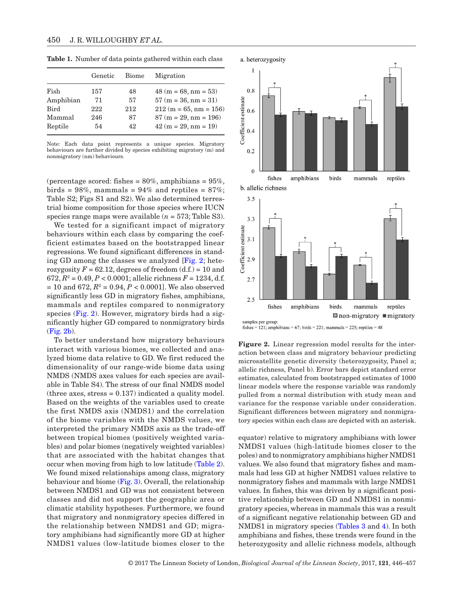|           | Genetic | <b>Biome</b> | Migration               |
|-----------|---------|--------------|-------------------------|
| Fish      | 157     | 48           | $48(m = 68, nm = 53)$   |
| Amphibian | 71      | 57           | $57 (m = 36, nm = 31)$  |
| Bird      | 222     | 212          | $212(m = 65, nm = 156)$ |
| Mammal    | 246     | 87           | $87 (m = 29, nm = 196)$ |
| Reptile   | 54      | 42           | $42 (m = 29, nm = 19)$  |
|           |         |              |                         |

<span id="page-4-0"></span>**Table 1.** Number of data points gathered within each class

Note: Each data point represents a unique species. Migratory behaviours are further divided by species exhibiting migratory (m) and nonmigratory (nm) behaviours.

(percentage scored: fishes =  $80\%$ , amphibians =  $95\%$ , birds =  $98\%$ , mammals =  $94\%$  and reptiles =  $87\%$ ; Table S2; Figs S1 and S2). We also determined terrestrial biome composition for those species where IUCN species range maps were available (*n* = 573; Table S3).

We tested for a significant impact of migratory behaviours within each class by comparing the coefficient estimates based on the bootstrapped linear regressions. We found significant differences in standing GD among the classes we analyzed [[Fig. 2](#page-4-1); heterozygosity  $F = 62.12$ , degrees of freedom  $(d.f.) = 10$  and  $672, R^2 = 0.49, P < 0.0001$ ; allelic richness  $F = 1234, d.f.$  $= 10$  and  $672, R^2 = 0.94, P < 0.0001$ . We also observed significantly less GD in migratory fishes, amphibians, mammals and reptiles compared to nonmigratory species ([Fig. 2](#page-4-1)). However, migratory birds had a significantly higher GD compared to nonmigratory birds [\(Fig. 2b\)](#page-4-1).

To better understand how migratory behaviours interact with various biomes, we collected and analyzed biome data relative to GD. We first reduced the dimensionality of our range-wide biome data using NMDS (NMDS axes values for each species are available in Table S4). The stress of our final NMDS model (three axes, stress = 0.137) indicated a quality model. Based on the weights of the variables used to create the first NMDS axis (NMDS1) and the correlation of the biome variables with the NMDS values, we interpreted the primary NMDS axis as the trade-off between tropical biomes (positively weighted variables) and polar biomes (negatively weighted variables) that are associated with the habitat changes that occur when moving from high to low latitude ([Table 2\)](#page-5-0). We found mixed relationships among class, migratory behaviour and biome ([Fig. 3\)](#page-6-0). Overall, the relationship between NMDS1 and GD was not consistent between classes and did not support the geographic area or climatic stability hypotheses. Furthermore, we found that migratory and nonmigratory species differed in the relationship between NMDS1 and GD; migratory amphibians had significantly more GD at higher NMDS1 values (low-latitude biomes closer to the



<span id="page-4-1"></span>fishes = 121; amphibians = 67; birds = 221; mammals = 225; reptiles = 48

**Figure 2.** Linear regression model results for the interaction between class and migratory behaviour predicting microsatellite genetic diversity (heterozygosity, Panel a; allelic richness, Panel b). Error bars depict standard error estimates, calculated from bootstrapped estimates of 1000 linear models where the response variable was randomly pulled from a normal distribution with study mean and variance for the response variable under consideration. Significant differences between migratory and nonmigratory species within each class are depicted with an asterisk.

equator) relative to migratory amphibians with lower NMDS1 values (high-latitude biomes closer to the poles) and to nonmigratory amphibians higher NMDS1 values. We also found that migratory fishes and mammals had less GD at higher NMDS1 values relative to nonmigratory fishes and mammals with large NMDS1 values. In fishes, this was driven by a significant positive relationship between GD and NMDS1 in nonmigratory species, whereas in mammals this was a result of a significant negative relationship between GD and NMDS1 in migratory species ([Tables 3](#page-7-0) and [4\)](#page-8-0). In both amphibians and fishes, these trends were found in the heterozygosity and allelic richness models, although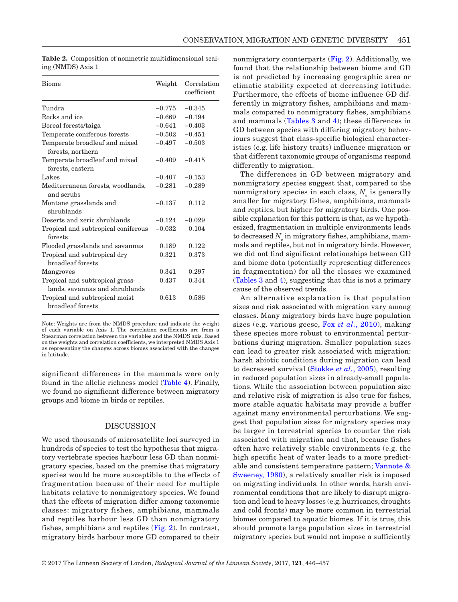| <b>Biome</b>                                                      | Weight   | Correlation<br>coefficient |
|-------------------------------------------------------------------|----------|----------------------------|
| Tundra                                                            | $-0.775$ | $-0.345$                   |
| Rocks and ice                                                     | $-0.669$ | $-0.194$                   |
| Boreal forests/taiga                                              | $-0.641$ | $-0.403$                   |
| Temperate coniferous forests                                      | $-0.502$ | $-0.451$                   |
| Temperate broadleaf and mixed<br>forests, northern                | $-0.497$ | $-0.503$                   |
| Temperate broadleaf and mixed<br>forests, eastern                 | $-0.409$ | $-0.415$                   |
| Lakes                                                             | $-0.407$ | $-0.153$                   |
| Mediterranean forests, woodlands,<br>and scrubs                   | $-0.281$ | $-0.289$                   |
| Montane grasslands and<br>shrublands                              | $-0.137$ | 0.112                      |
| Deserts and xeric shrublands                                      | $-0.124$ | $-0.029$                   |
| Tropical and subtropical coniferous<br>forests                    | $-0.032$ | 0.104                      |
| Flooded grasslands and savannas                                   | 0.189    | 0.122                      |
| Tropical and subtropical dry<br>broadleaf forests                 | 0.321    | 0.373                      |
| Mangroves                                                         | 0.341    | 0.297                      |
| Tropical and subtropical grass-<br>lands, savannas and shrublands | 0.437    | 0.344                      |
| Tropical and subtropical moist<br>broadleaf forests               | 0.613    | 0.586                      |

<span id="page-5-0"></span>**Table 2.** Composition of nonmetric multidimensional scaling (NMDS) Axis 1

Note: Weights are from the NMDS procedure and indicate the weight of each variable on Axis 1. The correlation coefficients are from a Spearman correlation between the variables and the NMDS axis. Based on the weights and correlation coefficients, we interpreted NMDS Axis 1 as representing the changes across biomes associated with the changes in latitude.

significant differences in the mammals were only found in the allelic richness model ([Table 4](#page-8-0)). Finally, we found no significant difference between migratory groups and biome in birds or reptiles.

# DISCUSSION

We used thousands of microsatellite loci surveyed in hundreds of species to test the hypothesis that migratory vertebrate species harbour less GD than nonmigratory species, based on the premise that migratory species would be more susceptible to the effects of fragmentation because of their need for multiple habitats relative to nonmigratory species. We found that the effects of migration differ among taxonomic classes: migratory fishes, amphibians, mammals and reptiles harbour less GD than nonmigratory fishes, amphibians and reptiles ([Fig. 2](#page-4-1)). In contrast, migratory birds harbour more GD compared to their

nonmigratory counterparts ([Fig. 2\)](#page-4-1). Additionally, we found that the relationship between biome and GD is not predicted by increasing geographic area or climatic stability expected at decreasing latitude. Furthermore, the effects of biome influence GD differently in migratory fishes, amphibians and mammals compared to nonmigratory fishes, amphibians and mammals ([Tables 3](#page-7-0) and [4](#page-8-0)); these differences in GD between species with differing migratory behaviours suggest that class-specific biological characteristics (e.g. life history traits) influence migration or that different taxonomic groups of organisms respond differently to migration.

The differences in GD between migratory and nonmigratory species suggest that, compared to the nonmigratory species in each class,  $N_e$  is generally smaller for migratory fishes, amphibians, mammals and reptiles, but higher for migratory birds. One possible explanation for this pattern is that, as we hypothesized, fragmentation in multiple environments leads to decreased  $N_{_e}$  in migratory fishes, amphibians, mammals and reptiles, but not in migratory birds. However, we did not find significant relationships between GD and biome data (potentially representing differences in fragmentation) for all the classes we examined [\(Tables 3](#page-7-0) and [4\)](#page-8-0), suggesting that this is not a primary cause of the observed trends.

An alternative explanation is that population sizes and risk associated with migration vary among classes. Many migratory birds have huge population sizes (e.g. various geese, Fox *et al.*[, 2010\)](#page-9-16), making these species more robust to environmental perturbations during migration. Smaller population sizes can lead to greater risk associated with migration: harsh abiotic conditions during migration can lead to decreased survival ([Stokke](#page-10-18) *et al.*, 2005), resulting in reduced population sizes in already-small populations. While the association between population size and relative risk of migration is also true for fishes, more stable aquatic habitats may provide a buffer against many environmental perturbations. We suggest that population sizes for migratory species may be larger in terrestrial species to counter the risk associated with migration and that, because fishes often have relatively stable environments (e.g. the high specific heat of water leads to a more predictable and consistent temperature pattern; [Vannote &](#page-10-19) [Sweeney, 1980\)](#page-10-19), a relatively smaller risk is imposed on migrating individuals. In other words, harsh environmental conditions that are likely to disrupt migration and lead to heavy losses (e.g. hurricanes, droughts and cold fronts) may be more common in terrestrial biomes compared to aquatic biomes. If it is true, this should promote large population sizes in terrestrial migratory species but would not impose a sufficiently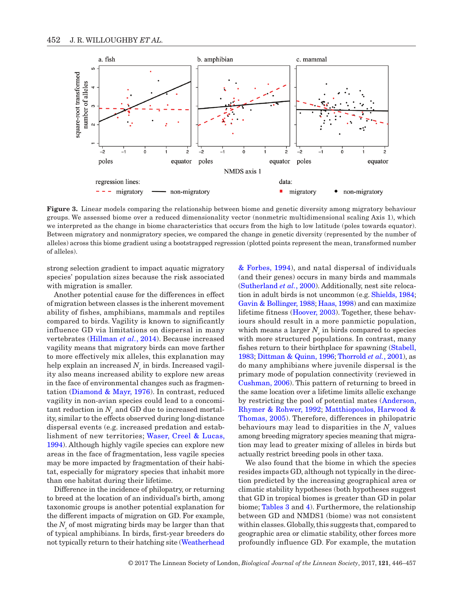

<span id="page-6-0"></span>**Figure 3.** Linear models comparing the relationship between biome and genetic diversity among migratory behaviour groups. We assessed biome over a reduced dimensionality vector (nonmetric multidimensional scaling Axis 1), which we interpreted as the change in biome characteristics that occurs from the high to low latitude (poles towards equator). Between migratory and nonmigratory species, we compared the change in genetic diversity (represented by the number of alleles) across this biome gradient using a bootstrapped regression (plotted points represent the mean, transformed number of alleles).

strong selection gradient to impact aquatic migratory species' population sizes because the risk associated with migration is smaller.

Another potential cause for the differences in effect of migration between classes is the inherent movement ability of fishes, amphibians, mammals and reptiles compared to birds. Vagility is known to significantly influence GD via limitations on dispersal in many vertebrates ([Hillman](#page-10-20) *et al.*, 2014). Because increased vagility means that migratory birds can move farther to more effectively mix alleles, this explanation may help explain an increased  $N_{_e}$  in birds. Increased vagility also means increased ability to explore new areas in the face of environmental changes such as fragmentation [\(Diamond & Mayr, 1976](#page-9-17)). In contrast, reduced vagility in non-avian species could lead to a concomi- $\tanh$  reduction in  $N_{_e}$  and GD due to increased mortality, similar to the effects observed during long-distance dispersal events (e.g. increased predation and establishment of new territories; [Waser, Creel & Lucas,](#page-11-2) [1994\)](#page-11-2). Although highly vagile species can explore new areas in the face of fragmentation, less vagile species may be more impacted by fragmentation of their habitat, especially for migratory species that inhabit more than one habitat during their lifetime.

Difference in the incidence of philopatry, or returning to breed at the location of an individual's birth, among taxonomic groups is another potential explanation for the different impacts of migration on GD. For example, the  $N_e$  of most migrating birds may be larger than that of typical amphibians. In birds, first-year breeders do not typically return to their hatching site [\(Weatherhead](#page-11-3)

[& Forbes, 1994](#page-11-3)), and natal dispersal of individuals (and their genes) occurs in many birds and mammals [\(Sutherland](#page-10-21) *et al.*, 2000). Additionally, nest site relocation in adult birds is not uncommon (e.g. [Shields, 1984;](#page-10-22) [Gavin & Bollinger, 1988](#page-9-18); [Haas, 1998](#page-10-23)) and can maximize lifetime fitness ([Hoover, 2003](#page-10-24)). Together, these behaviours should result in a more panmictic population, which means a larger  $N_e$  in birds compared to species with more structured populations. In contrast, many fishes return to their birthplace for spawning ([Stabell,](#page-10-25)  [1983](#page-10-25); [Dittman & Quinn, 1996;](#page-9-19) [Thorrold](#page-10-26) *et al.*, 2001), as do many amphibians where juvenile dispersal is the primary mode of population connectivity (reviewed in [Cushman, 2006\)](#page-9-20). This pattern of returning to breed in the same location over a lifetime limits allelic exchange by restricting the pool of potential mates ([Anderson,](#page-9-21) [Rhymer & Rohwer, 1992](#page-9-21); [Matthiopoulos, Harwood &](#page-10-27) [Thomas, 2005\)](#page-10-27). Therefore, differences in philopatric behaviours may lead to disparities in the  $N_{e}$  values among breeding migratory species meaning that migration may lead to greater mixing of alleles in birds but actually restrict breeding pools in other taxa.

We also found that the biome in which the species resides impacts GD, although not typically in the direction predicted by the increasing geographical area or climatic stability hypotheses (both hypotheses suggest that GD in tropical biomes is greater than GD in polar biome; [Tables 3](#page-7-0) and [4](#page-8-0)). Furthermore, the relationship between GD and NMDS1 (biome) was not consistent within classes. Globally, this suggests that, compared to geographic area or climatic stability, other forces more profoundly influence GD. For example, the mutation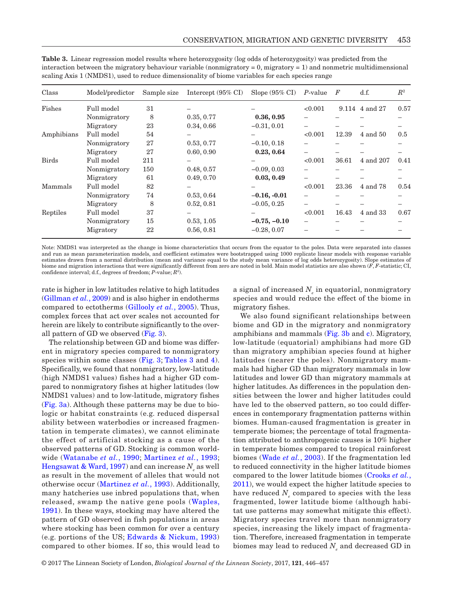| Class        | Model/predictor | Sample size | Intercept (95% CI) | Slope $(95\% \text{ CI})$ | P-value                      | $\boldsymbol{F}$ | d.f.           | $\mathbb{R}^2$ |
|--------------|-----------------|-------------|--------------------|---------------------------|------------------------------|------------------|----------------|----------------|
| Fishes       | Full model      | 31          |                    |                           | < 0.001                      |                  | 9.114 4 and 27 | 0.57           |
|              | Nonmigratory    | 8           | 0.35, 0.77         | 0.36, 0.95                |                              |                  |                |                |
|              | Migratory       | 23          | 0.34, 0.66         | $-0.31, 0.01$             |                              |                  |                |                |
| Amphibians   | Full model      | 54          |                    |                           | < 0.001                      | 12.39            | 4 and 50       | 0.5            |
|              | Nonmigratory    | 27          | 0.53, 0.77         | $-0.10, 0.18$             |                              |                  |                |                |
|              | Migratory       | 27          | 0.60, 0.90         | 0.23, 0.64                | $\overline{\phantom{0}}$     |                  |                |                |
| <b>Birds</b> | Full model      | 211         |                    |                           | < 0.001                      | 36.61            | 4 and 207      | 0.41           |
|              | Nonmigratory    | 150         | 0.48, 0.57         | $-0.09, 0.03$             |                              |                  |                |                |
|              | Migratory       | 61          | 0.49, 0.70         | 0.03, 0.49                |                              |                  |                |                |
| Mammals      | Full model      | 82          |                    |                           | < 0.001                      | 23.36            | 4 and 78       | 0.54           |
|              | Nonmigratory    | 74          | 0.53, 0.64         | $-0.16, -0.01$            |                              |                  |                |                |
|              | Migratory       | 8           | 0.52, 0.81         | $-0.05, 0.25$             |                              |                  |                |                |
| Reptiles     | Full model      | 37          |                    |                           | < 0.001                      | 16.43            | 4 and 33       | 0.67           |
|              | Nonmigratory    | 15          | 0.53, 1.05         | $-0.75, -0.10$            | $\qquad \qquad \blacksquare$ |                  |                |                |
|              | Migratory       | 22          | 0.56, 0.81         | $-0.28, 0.07$             |                              |                  |                |                |

<span id="page-7-0"></span>**Table 3.** Linear regression model results where heterozygosity (log odds of heterozygosity) was predicted from the interaction between the migratory behaviour variable (nonmigratory = 0, migratory = 1) and nonmetric multidimensional scaling Axis 1 (NMDS1), used to reduce dimensionality of biome variables for each species range

Note: NMDS1 was interpreted as the change in biome characteristics that occurs from the equator to the poles. Data were separated into classes and run as mean parameterization models, and coefficient estimates were bootstrapped using 1000 replicate linear models with response variable estimates drawn from a normal distribution (mean and variance equal to the study mean variance of log odds heterozygosity). Slope estimates of biome and migration interactions that were significantly different from zero are noted in bold. Main model statistics are also shown (*F*, *F*-statistic; CI, confidence interval; d.f., degrees of freedom; *P*-value; *R*<sup>2</sup> ).

rate is higher in low latitudes relative to high latitudes [\(Gillman](#page-9-22) *et al.*, 2009) and is also higher in endotherms compared to ectotherms ([Gillooly](#page-9-23) *et al.*, 2005). Thus, complex forces that act over scales not accounted for herein are likely to contribute significantly to the overall pattern of GD we observed [\(Fig.](#page-6-0) 3).

The relationship between GD and biome was different in migratory species compared to nonmigratory species within some classes ([Fig.](#page-6-0) 3; [Tables 3](#page-7-0) and [4\)](#page-8-0). Specifically, we found that nonmigratory, low-latitude (high NMDS1 values) fishes had a higher GD compared to nonmigratory fishes at higher latitudes (low NMDS1 values) and to low-latitude, migratory fishes [\(Fig.](#page-6-0) 3a). Although these patterns may be due to biologic or habitat constraints (e.g. reduced dispersal ability between waterbodies or increased fragmentation in temperate climates), we cannot eliminate the effect of artificial stocking as a cause of the observed patterns of GD. Stocking is common worldwide ([Watanabe](#page-11-4) *et al.*, 1990; [Martinez](#page-10-28) *et al.*, 1993;  $\rm{Hengsawat}$  & Ward, 1997) and can increase  $N_{_e}$  as well as result in the movement of alleles that would not otherwise occur ([Martinez](#page-10-28) *et al.*, 1993). Additionally, many hatcheries use inbred populations that, when released, swamp the native gene pools ([Waples,](#page-10-4) [1991\)](#page-10-4). In these ways, stocking may have altered the pattern of GD observed in fish populations in areas where stocking has been common for over a century (e.g. portions of the US; [Edwards & Nickum, 1993](#page-9-24)) compared to other biomes. If so, this would lead to

a signal of increased  $N_{_e}$  in equatorial, nonmigratory species and would reduce the effect of the biome in migratory fishes.

We also found significant relationships between biome and GD in the migratory and nonmigratory amphibians and mammals [\(Fig. 3b](#page-6-0) and [c\)](#page-6-0). Migratory, low-latitude (equatorial) amphibians had more GD than migratory amphibian species found at higher latitudes (nearer the poles). Nonmigratory mammals had higher GD than migratory mammals in low latitudes and lower GD than migratory mammals at higher latitudes. As differences in the population densities between the lower and higher latitudes could have led to the observed pattern, so too could differences in contemporary fragmentation patterns within biomes. Human-caused fragmentation is greater in temperate biomes; the percentage of total fragmentation attributed to anthropogenic causes is 10% higher in temperate biomes compared to tropical rainforest biomes (Wade *et al.*[, 2003](#page-10-6)). If the fragmentation led to reduced connectivity in the higher latitude biomes compared to the lower latitude biomes [\(Crooks](#page-9-25) *et al.*, [2011](#page-9-25)), we would expect the higher latitude species to have reduced  $N_e$  compared to species with the less fragmented, lower latitude biome (although habitat use patterns may somewhat mitigate this effect). Migratory species travel more than nonmigratory species, increasing the likely impact of fragmentation. Therefore, increased fragmentation in temperate biomes may lead to reduced  $N_{_e}$  and decreased GD in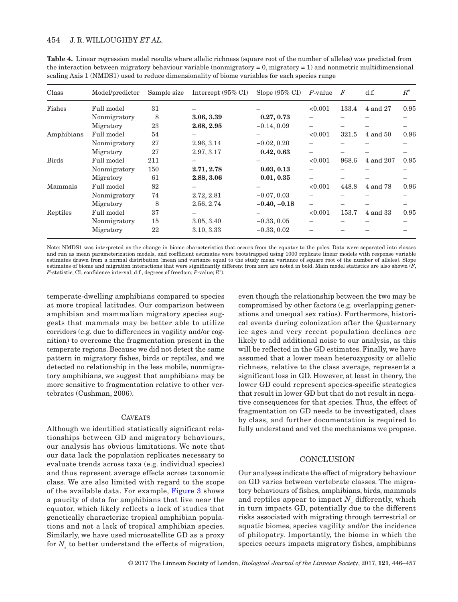| Class        | Model/predictor | Sample size | Intercept (95% CI) | Slope $(95\% \text{ CI})$              | P-value                  | $\boldsymbol{F}$ | d.f.      | $\mathbb{R}^2$ |
|--------------|-----------------|-------------|--------------------|----------------------------------------|--------------------------|------------------|-----------|----------------|
| Fishes       | Full model      | 31          |                    |                                        | < 0.001                  | 133.4            | 4 and 27  | 0.95           |
|              | Nonmigratory    | 8           | 3.06, 3.39         | 0.27, 0.73                             |                          |                  |           |                |
|              | Migratory       | 23          | 2.68, 2.95         | $-0.14, 0.09$                          | $\overline{\phantom{0}}$ |                  |           |                |
| Amphibians   | Full model      | 54          |                    |                                        | < 0.001                  | 321.5            | 4 and 50  | 0.96           |
|              | Nonmigratory    | 27          | 2.96, 3.14         | $-0.02, 0.20$                          |                          |                  |           |                |
|              | Migratory       | 27          | 2.97, 3.17         | 0.42, 0.63                             |                          |                  |           |                |
| <b>Birds</b> | Full model      | 211         |                    |                                        | < 0.001                  | 968.6            | 4 and 207 | 0.95           |
|              | Nonmigratory    | 150         | 2.71, 2.78         | 0.03, 0.13                             |                          |                  |           |                |
|              | Migratory       | 61          | 2.88, 3.06         | 0.01, 0.35<br>$\overline{\phantom{0}}$ |                          |                  |           |                |
| Mammals      | Full model      | 82          |                    |                                        | < 0.001                  | 448.8            | 4 and 78  | 0.96           |
|              | Nonmigratory    | 74          | 2.72, 2.81         | $-0.07, 0.03$                          |                          |                  |           |                |
|              | Migratory       | 8           | 2.56, 2.74         | $-0.40, -0.18$                         | $\overline{\phantom{0}}$ |                  |           |                |
| Reptiles     | Full model      | 37          |                    |                                        | < 0.001                  | 153.7            | 4 and 33  | 0.95           |
|              | Nonmigratory    | 15          | 3.05, 3.40         | $-0.33, 0.05$                          |                          |                  |           |                |
|              | Migratory       | 22          | 3.10, 3.33         | $-0.33, 0.02$                          |                          |                  |           |                |

<span id="page-8-0"></span>**Table 4.** Linear regression model results where allelic richness (square root of the number of alleles) was predicted from the interaction between migratory behaviour variable (nonmigratory = 0, migratory = 1) and nonmetric multidimensional scaling Axis 1 (NMDS1) used to reduce dimensionality of biome variables for each species range

Note: NMDS1 was interpreted as the change in biome characteristics that occurs from the equator to the poles. Data were separated into classes and run as mean parameterization models, and coefficient estimates were bootstrapped using 1000 replicate linear models with response variable estimates drawn from a normal distribution (mean and variance equal to the study mean variance of square root of the number of alleles). Slope estimates of biome and migration interactions that were significantly different from zero are noted in bold. Main model statistics are also shown (*F*, *F*-statistic; CI, confidence interval; d.f., degrees of freedom; *P*-value; *R*<sup>2</sup> ).

temperate-dwelling amphibians compared to species at more tropical latitudes. Our comparison between amphibian and mammalian migratory species suggests that mammals may be better able to utilize corridors (e.g. due to differences in vagility and/or cognition) to overcome the fragmentation present in the temperate regions. Because we did not detect the same pattern in migratory fishes, birds or reptiles, and we detected no relationship in the less mobile, nonmigratory amphibians, we suggest that amphibians may be more sensitive to fragmentation relative to other vertebrates (Cushman, 2006).

#### **CAVEATS**

Although we identified statistically significant relationships between GD and migratory behaviours, our analysis has obvious limitations. We note that our data lack the population replicates necessary to evaluate trends across taxa (e.g. individual species) and thus represent average effects across taxonomic class. We are also limited with regard to the scope of the available data. For example, [Figure](#page-6-0) 3 shows a paucity of data for amphibians that live near the equator, which likely reflects a lack of studies that genetically characterize tropical amphibian populations and not a lack of tropical amphibian species. Similarly, we have used microsatellite GD as a proxy for  $N_e$  to better understand the effects of migration, even though the relationship between the two may be compromised by other factors (e.g. overlapping generations and unequal sex ratios). Furthermore, historical events during colonization after the Quaternary ice ages and very recent population declines are likely to add additional noise to our analysis, as this will be reflected in the GD estimates. Finally, we have assumed that a lower mean heterozygosity or allelic richness, relative to the class average, represents a significant loss in GD. However, at least in theory, the lower GD could represent species-specific strategies that result in lower GD but that do not result in negative consequences for that species. Thus, the effect of fragmentation on GD needs to be investigated, class by class, and further documentation is required to fully understand and vet the mechanisms we propose.

## **CONCLUSION**

Our analyses indicate the effect of migratory behaviour on GD varies between vertebrate classes. The migratory behaviours of fishes, amphibians, birds, mammals and reptiles appear to impact  $N_e$  differently, which in turn impacts GD, potentially due to the different risks associated with migrating through terrestrial or aquatic biomes, species vagility and/or the incidence of philopatry. Importantly, the biome in which the species occurs impacts migratory fishes, amphibians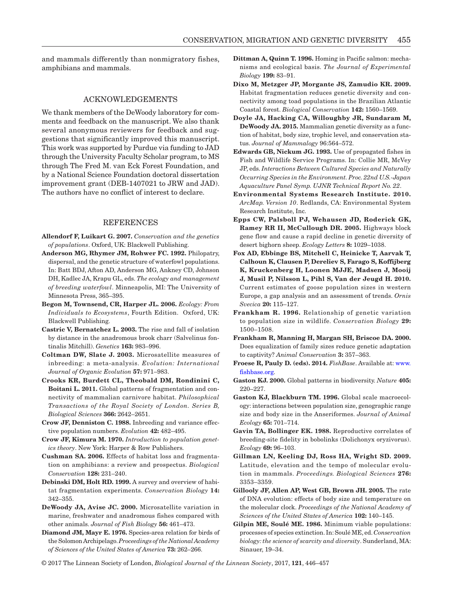and mammals differently than nonmigratory fishes, amphibians and mammals.

#### ACKNOWLEDGEMENTS

We thank members of the DeWoody laboratory for comments and feedback on the manuscript. We also thank several anonymous reviewers for feedback and suggestions that significantly improved this manuscript. This work was supported by Purdue via funding to JAD through the University Faculty Scholar program, to MS through The Fred M. van Eck Forest Foundation, and by a National Science Foundation doctoral dissertation improvement grant (DEB-1407021 to JRW and JAD). The authors have no conflict of interest to declare.

## REFERENCES

- <span id="page-9-1"></span>**Allendorf F, Luikart G. 2007.** *Conservation and the genetics of populations*. Oxford, UK: Blackwell Publishing.
- <span id="page-9-21"></span>**Anderson MG, Rhymer JM, Rohwer FC. 1992.** Philopatry, dispersal, and the genetic structure of waterfowl populations. In: Batt BDJ, Afton AD, Anderson MG, Ankney CD, Johnson DH, Kadlec JA, Krapu GL, eds. *The ecology and management of breeding waterfowl*. Minneapolis, MI: The University of Minnesota Press, 365–395.
- **Begon M, Townsend, CR, Harper JL. 2006.** *Ecology: From Individuals to Ecosystems*, Fourth Edition. Oxford, UK: Blackwell Publishing.
- **Castric V, Bernatchez L. 2003.** The rise and fall of isolation by distance in the anadromous brook charr (Salvelinus fontinalis Mitchill). *Genetics* **163:** 983–996.
- <span id="page-9-5"></span>**Coltman DW, Slate J. 2003.** Microsatellite measures of inbreeding: a meta-analysis. *Evolution: International Journal of Organic Evolution* **57:** 971–983.
- <span id="page-9-25"></span>**Crooks KR, Burdett CL, Theobald DM, Rondinini C, Boitani L. 2011.** Global patterns of fragmentation and connectivity of mammalian carnivore habitat. *Philosophical Transactions of the Royal Society of London. Series B, Biological Sciences* **366:** 2642–2651.
- <span id="page-9-2"></span>**Crow JF, Denniston C. 1988.** Inbreeding and variance effective population numbers. *Evolution* **42:** 482–495.
- <span id="page-9-0"></span>**Crow JF, Kimura M. 1970.** *Introduction to population genetics theory*. New York: Harper & Row Publishers.
- <span id="page-9-20"></span>**Cushman SA. 2006.** Effects of habitat loss and fragmentation on amphibians: a review and prospectus. *Biological Conservation* **128:** 231–240.
- <span id="page-9-8"></span>**Debinski DM, Holt RD. 1999.** A survey and overview of habitat fragmentation experiments. *Conservation Biology* **14:**  342–355.
- <span id="page-9-6"></span>**DeWoody JA, Avise JC. 2000.** Microsatellite variation in marine, freshwater and anadromous fishes compared with other animals. *Journal of Fish Biology* **56:** 461–473.
- <span id="page-9-17"></span>**Diamond JM, Mayr E. 1976.** Species-area relation for birds of the Solomon Archipelago. *Proceedings of the National Academy of Sciences of the United States of America* **73:** 262–266.
- <span id="page-9-19"></span>**Dittman A, Quinn T. 1996.** Homing in Pacific salmon: mechanisms and ecological basis. *The Journal of Experimental Biology* **199:** 83–91.
- <span id="page-9-10"></span>**Dixo M, Metzger JP, Morgante JS, Zamudio KR. 2009.** Habitat fragmentation reduces genetic diversity and connectivity among toad populations in the Brazilian Atlantic Coastal forest. *Biological Conservation* **142:** 1560–1569.
- <span id="page-9-7"></span>**Doyle JA, Hacking CA, Willoughby JR, Sundaram M, DeWoody JA. 2015.** Mammalian genetic diversity as a function of habitat, body size, trophic level, and conservation status. *Journal of Mammalogy* 96:564–572.
- <span id="page-9-24"></span>**Edwards GB, Nickum JG. 1993.** Use of propagated fishes in Fish and Wildlife Service Programs. In: Collie MR, McVey JP, eds. *Interactions Between Cultured Species and Naturally Occurring Species in the Environment. Proc. 22nd U.S.-Japan Aquaculture Panel Symp. UJNR Technical Report No. 22*.
- <span id="page-9-15"></span>**Environmental Systems Research Institute. 2010.** *ArcMap. Version 10*. Redlands, CA: Environmental System Research Institute, Inc.
- <span id="page-9-9"></span>**Epps CW, Palsboll PJ, Wehausen JD, Roderick GK, Ramey RR II, McCullough DR. 2005.** Highways block gene flow and cause a rapid decline in genetic diversity of desert bighorn sheep. *Ecology Letters* **8:** 1029–1038.
- <span id="page-9-16"></span>**Fox AD, Ebbinge BS, Mitchell C, Heinicke T, Aarvak T, Calhoun K, Clausen P, Dereliev S, Farago S, Koffijberg K, Kruckenberg H, Loonen MJJE, Madsen J, Mooij J, Musil P, Nilsson L, Pihl S, Van der Jeugd H. 2010.** Current estimates of goose population sizes in western Europe, a gap analysis and an assessment of trends. *Ornis Svecica* **20:** 115–127.
- <span id="page-9-12"></span>**Frankham R. 1996.** Relationship of genetic variation to population size in wildlife. *Conservation Biology* **29:**  1500–1508.
- <span id="page-9-3"></span>**Frankham R, Manning H, Margan SH, Briscoe DA. 2000.** Does equalization of family sizes reduce genetic adaptation to captivity? *Animal Conservation* **3:** 357–363.
- <span id="page-9-14"></span>**Froese R, Pauly D. (eds). 2014.** *FishBase*. Available at: [www.](http://www.fishbase.org) [fishbase.org.](http://www.fishbase.org)
- <span id="page-9-13"></span>**Gaston KJ. 2000.** Global patterns in biodiversity. *Nature* **405:**  220–227.
- <span id="page-9-11"></span>**Gaston KJ, Blackburn TM. 1996.** Global scale macroecology: interactions between population size, genographic range size and body size in the Anseriformes. *Journal of Animal Ecology* **65:** 701–714.
- <span id="page-9-18"></span>**Gavin TA, Bollinger EK. 1988.** Reproductive correlates of breeding-site fidelity in bobolinks (Dolichonyx oryzivorus). *Ecology* **69:** 96–103.
- <span id="page-9-22"></span>**Gillman LN, Keeling DJ, Ross HA, Wright SD. 2009.** Latitude, elevation and the tempo of molecular evolution in mammals. *Proceedings. Biological Sciences* **276:**  3353–3359.
- <span id="page-9-23"></span>**Gillooly JF, Allen AP, West GB, Brown JH. 2005.** The rate of DNA evolution: effects of body size and temperature on the molecular clock. *Proceedings of the National Academy of Sciences of the United States of America* **102:** 140–145.
- <span id="page-9-4"></span>**Gilpin ME, Soulé ME. 1986.** Minimum viable populations: processes of species extinction. In: Soulé ME, ed. *Conservation biology: the science of scarcity and diversity*. Sunderland, MA: Sinauer, 19–34.

© 2017 The Linnean Society of London, *Biological Journal of the Linnean Society*, 2017, **121**, 446–457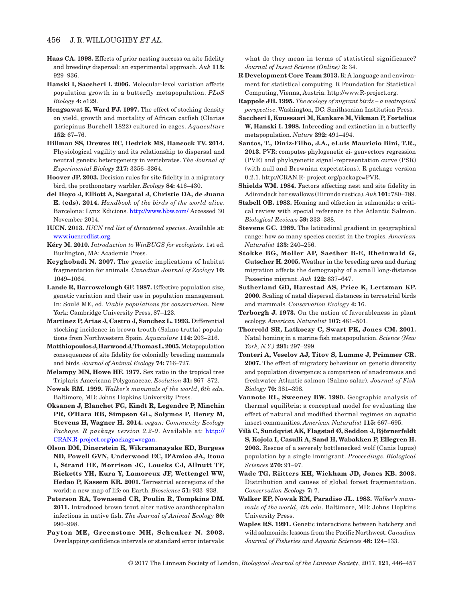- <span id="page-10-23"></span>**Haas CA. 1998.** Effects of prior nesting success on site fidelity and breeding dispersal: an experimental approach. *Auk* **115:**  929–936.
- <span id="page-10-3"></span>**Hanski I, Saccheri I. 2006.** Molecular-level variation affects population growth in a butterfly metapopulation. *PLoS Biology* **4:** e129.
- <span id="page-10-29"></span>**Hengsawat K, Ward FJ. 1997.** The effect of stocking density on yield, growth and mortality of African catfish (Clarias gariepinus Burchell 1822) cultured in cages. *Aquaculture* **152:** 67–76.
- <span id="page-10-20"></span>**Hillman SS, Drewes RC, Hedrick MS, Hancock TV. 2014.** Physiological vagility and its relationship to dispersal and neutral genetic heterogeneity in vertebrates. *The Journal of Experimental Biology* **217:** 3356–3364.
- <span id="page-10-24"></span>**Hoover JP. 2003.** Decision rules for site fidelity in a migratory bird, the prothonotary warbler. *Ecology* **84:** 416–430.
- <span id="page-10-15"></span>**del Hoyo J, Elliott A, Sargatal J, Christie DA, de Juana E. (eds). 2014.** *Handbook of the birds of the world alive*. Barcelona: Lynx Edicions. <http://www.hbw.com/> Accessed 30 November 2014.
- <span id="page-10-12"></span>**IUCN. 2013.** *IUCN red list of threatened species*. Available at: [www.iucnredlist.org](http://www.iucnredlist.org).
- **Kéry M. 2010.** *Introduction to WinBUGS for ecologists*. 1st ed. Burlington, MA: Academic Press.
- <span id="page-10-7"></span>**Keyghobadi N. 2007.** The genetic implications of habitat fragmentation for animals. *Canadian Journal of Zoology* **10:**  1049–1064.
- <span id="page-10-11"></span>**Lande R, Barrowclough GF. 1987.** Effective population size, genetic variation and their use in population management. In: Soulé ME, ed. *Viable populations for conservation*. New York: Cambridge University Press, 87–123.
- <span id="page-10-28"></span>**Martinez P, Arias J, Castro J, Sanchez L. 1993.** Differential stocking incidence in brown trouth (Salmo trutta) populations from Northwestern Spain. *Aquaculure* **114:** 203–216.
- <span id="page-10-27"></span>**Matthiopoulos J, Harwood J, Thomas L. 2005.** Metapopulation consequences of site fidelity for colonially breeding mammals and birds. *Journal of Animal Ecology* **74:** 716–727.
- <span id="page-10-1"></span>**Melampy MN, Howe HF. 1977.** Sex ratio in the tropical tree Triplaris Americana Polygonaceae. *Evolution* **31:** 867–872.
- <span id="page-10-14"></span>**Nowak RM. 1999.** *Walker's mammals of the world*, *6th edn*. Baltimore, MD: Johns Hopkins University Press.
- <span id="page-10-17"></span>**Oksanen J, Blanchet FG, Kindt R, Legendre P, Minchin PR, O'Hara RB, Simpson GL, Solymos P, Henry M, Stevens H, Wagner H. 2014.** *vegan: Community Ecology Package. R package version 2.2-0*. Available at: [http://](http://CRAN.R-project.org/package=vegan) [CRAN.R-project.org/package=vegan.](http://CRAN.R-project.org/package=vegan)
- <span id="page-10-8"></span>**Olson DM, Dinerstein E, Wikramanayake ED, Burgess ND, Powell GVN, Underwood EC, D'Amico JA, Itoua I, Strand HE, Morrison JC, Loucks CJ, Allnutt TF, Ricketts YH, Kura Y, Lamoreux JF, Wettengel WW, Hedao P, Kassem KR. 2001.** Terrestrial ecoregions of the world: a new map of life on Earth. *Bioscience* **51:** 933–938.
- **Paterson RA, Townsend CR, Poulin R, Tompkins DM. 2011.** Introduced brown trout alter native acanthocephalan infections in native fish. *The Journal of Animal Ecology* **80:**  990–998.
- <span id="page-10-16"></span>**Payton ME, Greenstone MH, Schenker N. 2003.** Overlapping confidence intervals or standard error intervals:

what do they mean in terms of statistical significance? *Journal of Insect Science (Online)* **3:** 34.

- **R Development Core Team 2013.** R: A language and environment for statistical computing. R Foundation for Statistical Computing, Vienna, Austria. http://www.R-project.org.
- <span id="page-10-5"></span>**Rappole JH. 1995.** *The ecology of migrant birds – a neotropical perspective*. Washington, DC: Smithsonian Institution Press.
- **Saccheri I, Kuussaari M, Kankare M, Vikman P, Fortelius W, Hanski I. 1998.** Inbreeding and extinction in a butterfly metapopulation. *Nature* **392:** 491–494.
- <span id="page-10-2"></span>**Santos, T., Diniz-Filho, J.A., eLuis Mauricio Bini, T.R., 2013.** PVR: computes phylogenetic ei- genvectors regression (PVR) and phylogenetic signal-representation curve (PSR) (with null and Brownian expectations). R package version 0.2.1. http://CRAN.R- project.org/package=PVR.
- <span id="page-10-22"></span>**Shields WM. 1984.** Factors affecting nest and site fidelity in Adirondack bar swallows (Hirundo rustica). *Auk* **101:** 780–789.
- <span id="page-10-25"></span>**Stabell OB. 1983.** Homing and olfaction in salmonids: a critical review with special reference to the Atlantic Salmon. *Biological Reviews* **59:** 333–388.
- <span id="page-10-10"></span>**Stevens GC. 1989.** The latitudinal gradient in geographical range: how so many species coexist in the tropics. *American Naturalist* **133:** 240–256.
- <span id="page-10-18"></span>**Stokke BG, Moller AP, Saether B-E, Rheinwald G, Gutscher H. 2005.** Weather in the breeding area and during migration affects the demography of a small long-distance Passerine migrant. *Auk* **122:** 637–647.
- <span id="page-10-21"></span>**Sutherland GD, Harestad AS, Price K, Lertzman KP. 2000.** Scaling of natal dispersal distances in terrestrial birds and mammals. *Conservation Ecology* **4:** 16.
- <span id="page-10-9"></span>**Terborgh J. 1973.** On the notion of favorableness in plant ecology. *American Naturalist* **107:** 481–501.
- <span id="page-10-26"></span>**Thorrold SR, Latkoczy C, Swart PK, Jones CM. 2001.** Natal homing in a marine fish metapopulation. *Science (New York, N.Y.)* **291:** 297–299.
- **Tonteri A, Veselov AJ, Titov S, Lumme J, Primmer CR. 2007.** The effect of migratory behaviour on genetic diversity and population divergence: a comparison of anadromous and freshwater Atlantic salmon (Salmo salar). *Journal of Fish Biology* **70:** 381–398.
- <span id="page-10-19"></span>**Vannote RL, Sweeney BW. 1980.** Geographic analysis of thermal equilibria: a conceptual model for evaluating the effect of natural and modified thermal regimes on aquatic insect communities. *American Naturalist* **115:** 667–695.
- <span id="page-10-0"></span>**Vilà C, Sundqvist AK, Flagstad Ø, Seddon J, Björnerfeldt S, Kojola I, Casulli A, Sand H, Wabakken P, Ellegren H. 2003.** Rescue of a severely bottlenecked wolf (Canis lupus) population by a single immigrant. *Proceedings. Biological Sciences* **270:** 91–97.
- <span id="page-10-6"></span>**Wade TG, Riitters KH, Wickham JD, Jones KB. 2003.** Distribution and causes of global forest fragmentation. *Conservation Ecology* **7:** 7.
- <span id="page-10-13"></span>**Walker EP, Nowak RM, Paradiso JL. 1983.** *Walker's mammals of the world*, *4th edn*. Baltimore, MD: Johns Hopkins University Press.
- <span id="page-10-4"></span>**Waples RS. 1991.** Genetic interactions between hatchery and wild salmonids: lessons from the Pacific Northwest. *Canadian Journal of Fisheries and Aquatic Sciences* **48:** 124–133.